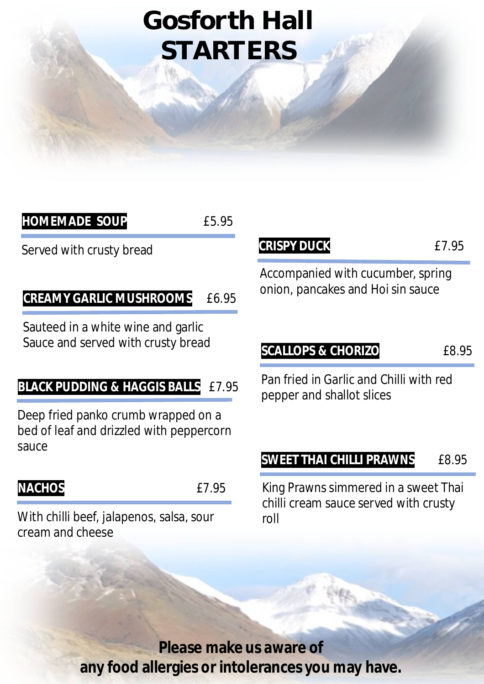# **Gosforth Hall STARTERS**

| <b>HOMEMADE SOUP</b>                                                            | £5.95 |                                             |
|---------------------------------------------------------------------------------|-------|---------------------------------------------|
| Served with crusty bread                                                        |       | <b>CRISPY DUCK</b>                          |
| <b>CREAMY GARLIC MUSHROOMS</b>                                                  | £6.95 | Accompanied with<br>onion, pancakes and     |
| Sauteed in a white wine and garlic<br>Sauce and served with crusty bread        |       | <b>SCALLOPS &amp; CHOR</b>                  |
| <b>BLACK PUDDING &amp; HAGGIS BALLS</b>                                         | £7.95 | Pan fried in Garlic a<br>pepper and shallot |
| Deep fried panko crumb wrapped on a<br>bed of leaf and drizzled with peppercorn |       |                                             |

#### **NACHOS** £7.95

With chilli beef, jalapenos, salsa, sour cream and cheese

**CRISPY DUCK** £7.95

cucumber, spring d Hoi sin sauce

**SCALLOPS & CHORIZO** £8.95

and Chilli with red slices

#### **SWEET THAI CHILLI PRAWNS** £8.95

King Prawns simmered in a sweet Thai chilli cream sauce served with crusty roll

**Please make us aware of any food allergies or intolerances you may have.**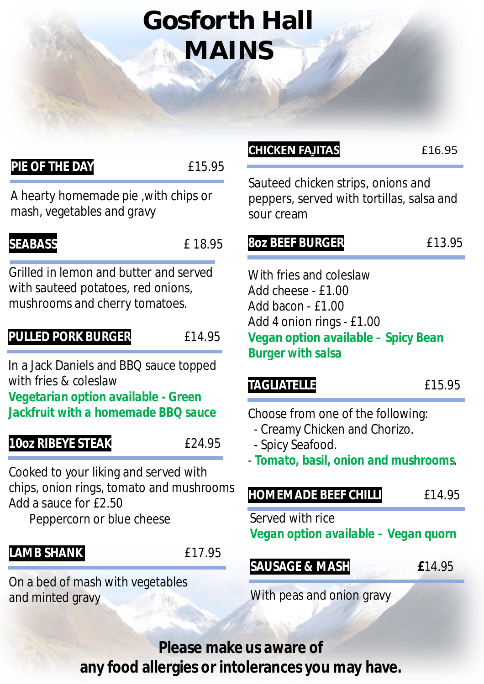# **Gosforth Hall MAINS**

#### **PIE OF THE DAY** 615.95

A hearty homemade pie ,with chips or mash, vegetables and gravy

#### **SEABASS**  $\qquad \qquad$  £ 18.95

Grilled in lemon and butter and served with sauteed potatoes, red onions, mushrooms and cherry tomatoes.

#### **PULLED PORK BURGER E14.95**

In a Jack Daniels and BBQ sauce topped with fries & coleslaw

*Vegetarian option available - Green Jackfruit with a homemade BBQ sauce*

#### **10oz RIBEYE STEAK E24.95**

Cooked to your liking and served with chips, onion rings, tomato and mushrooms Add a sauce for £2.50

Peppercorn or blue cheese

#### **LAMB SHANK** £17.95

On a bed of mash with vegetables and minted gravy

#### **CHICKEN FAJITAS** £16.95

Sauteed chicken strips, onions and peppers, served with tortillas, salsa and sour cream

#### **8oz BEEF BURGER** 613.95

With fries and coleslaw Add cheese - £1.00 Add bacon - £1.00 Add 4 onion rings - £1.00 *Vegan option available – Spicy Bean Burger with salsa* 

#### TAGLIATELLE **Election Expansion**  $f(15.95)$

Choose from one of the following:

- Creamy Chicken and Chorizo.
- Spicy Seafood.
- *Tomato, basil, onion and mushrooms*.

#### **HOMEMADE BEEF CHILLI** £14.95

Served with rice *Vegan option available – Vegan quorn*

#### **SAUSAGE & MASH £**14.95

With peas and onion gravy

**Please make us aware of any food allergies or intolerances you may have.**